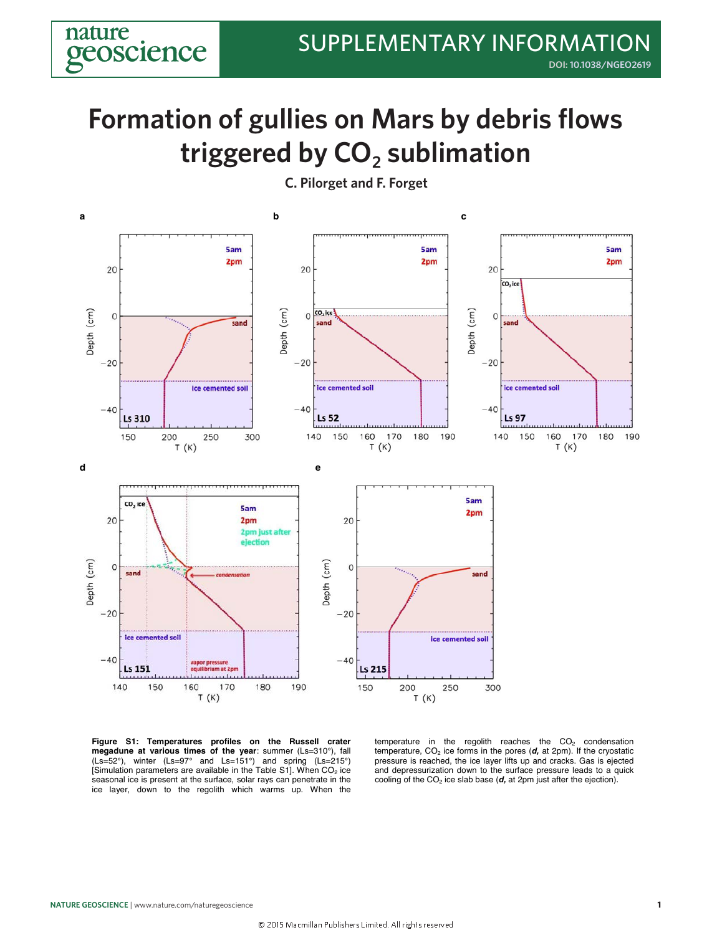## triggered by **CO**<sub>2</sub> sublimation **Formation of gullies on Mars by debris flows**



**Figure S1: Temperatures profiles on the Russell crater megadune at various times of the year**: summer (Ls=310°), fall (Ls=52°), winter (Ls=97° and Ls=151°) and spring (Ls=215°) [Simulation parameters are available in the Table S1]. When  $CO<sub>2</sub>$  ice seasonal ice is present at the surface, solar rays can penetrate in the ice layer, down to the regolith which warms up. When the

temperature in the regolith reaches the  $CO<sub>2</sub>$  condensation temperature,  $CO<sub>2</sub>$  ice forms in the pores ( $d$ , at 2pm). If the cryostatic pressure is reached, the ice layer lifts up and cracks. Gas is ejected and depressurization down to the surface pressure leads to a quick cooling of the  $CO<sub>2</sub>$  ice slab base ( $d$ , at 2pm just after the ejection).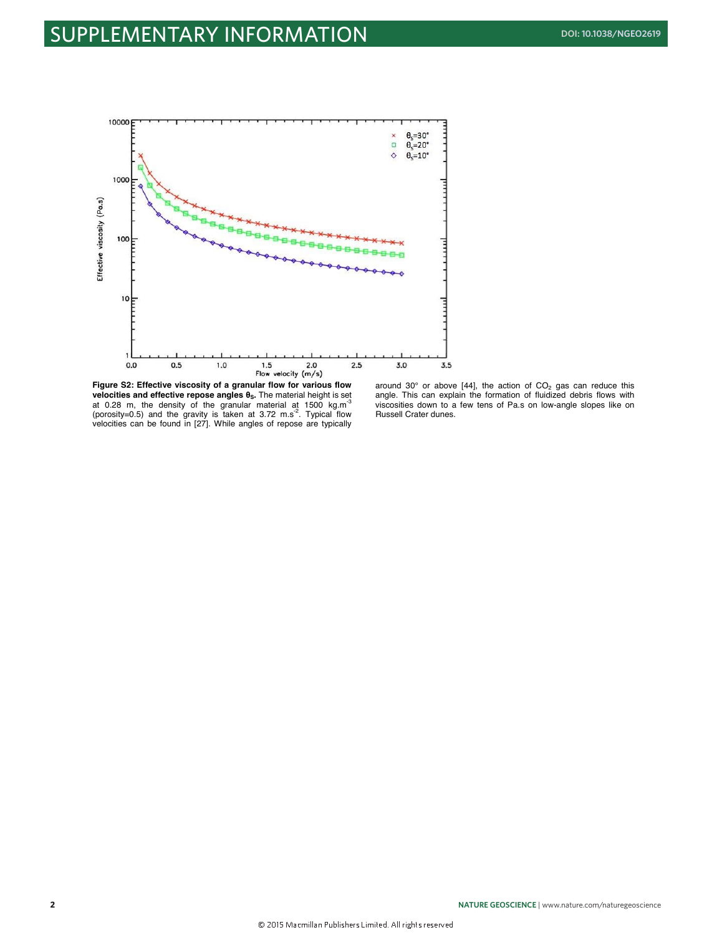

**Figure S2: Effective viscosity of a granular flow for various flow velocities and effective repose angles θS.** The material height is set at 0.28 m, the density of the granular material at 1500 kg.m $^3$ (porosity=0.5) and the gravity is taken at 3.72 m.s<sup>-2</sup>. Typical flow velocities can be found in [27]. While angles of repose are typically

around 30 $^{\circ}$  or above [44], the action of CO<sub>2</sub> gas can reduce this angle. This can explain the formation of fluidized debris flows with viscosities down to a few tens of Pa.s on low-angle slopes like on Russell Crater dunes.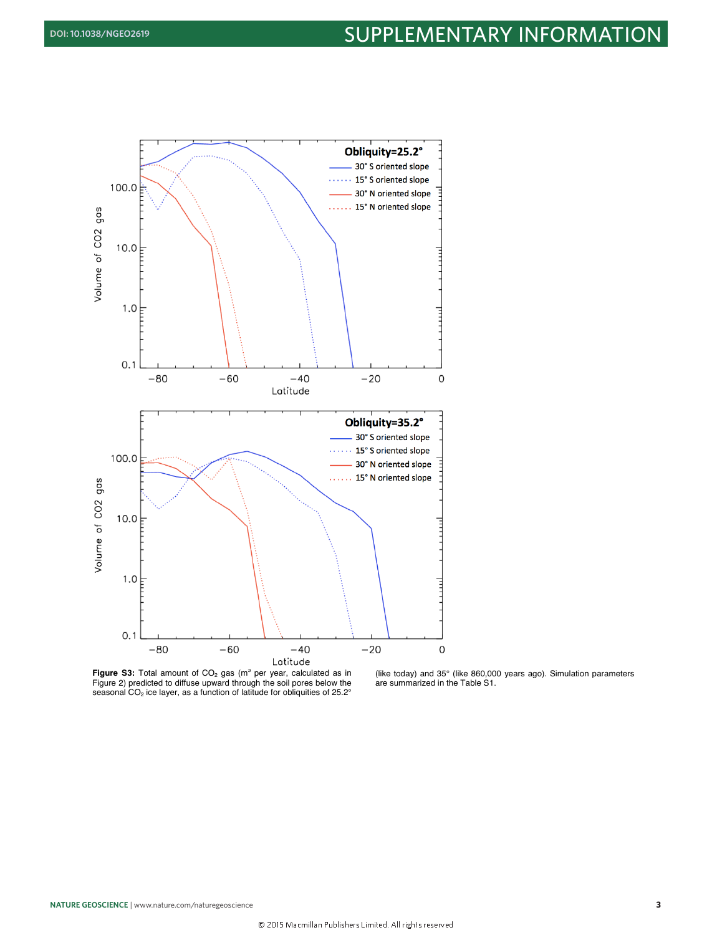

**Figure S3:** Total amount of CO<sub>2</sub> gas (m<sup>3</sup> per year, calculated as in Figure 2) predicted to diffuse upward through the soil pores below the seasonal CO<sub>2</sub> ice layer, as a function of latitude for obliquities of 25.2°

(like today) and 35° (like 860,000 years ago). Simulation parameters are summarized in the Table S1.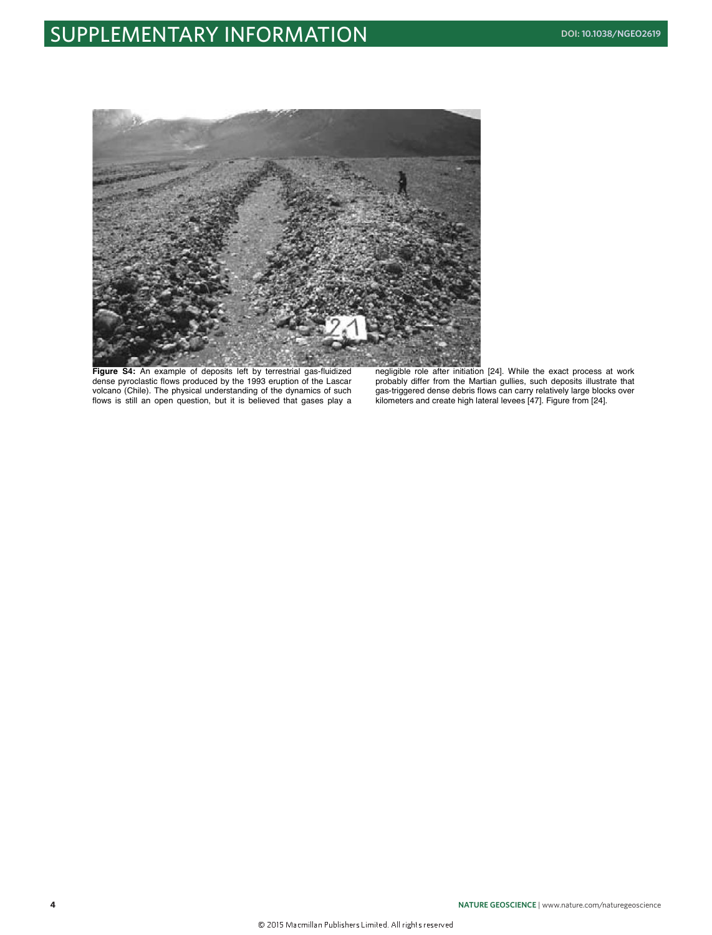## **SUPPLEMENTARY INFORMATION DOI: [10.1038/NGEO2619](http://dx.doi.org/10.1038/ngeo2619)**



**Figure S4:** An example of deposits left by terrestrial gas-fluidized dense pyroclastic flows produced by the 1993 eruption of the Lascar volcano (Chile). The physical understanding of the dynamics of such flows is still an open question, but it is believed that gases play a negligible role after initiation [24]. While the exact process at work probably differ from the Martian gullies, such deposits illustrate that gas-triggered dense debris flows can carry relatively large blocks over kilometers and create high lateral levees [47]. Figure from [24].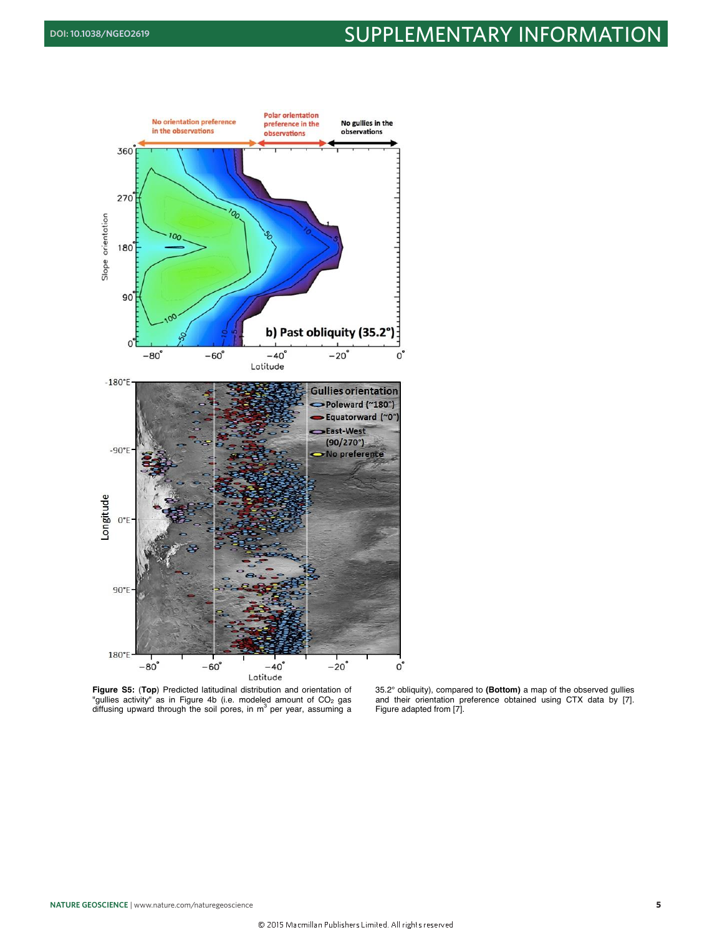## **DOI: [10.1038/NGEO2619](http://dx.doi.org/10.1038/ngeo2619) SUPPLEMENTARY INFORMATION**



**Figure S5:** (**Top**) Predicted latitudinal distribution and orientation of "gullies activity" as in Figure 4b (i.e. modeled amount of CO<sub>2</sub> gas<br>diffusing upward through the soil pores, in m<sup>3</sup> per year, assuming a

35.2° obliquity), compared to **(Bottom)** a map of the observed gullies and their orientation preference obtained using CTX data by [7]. Figure adapted from [7].